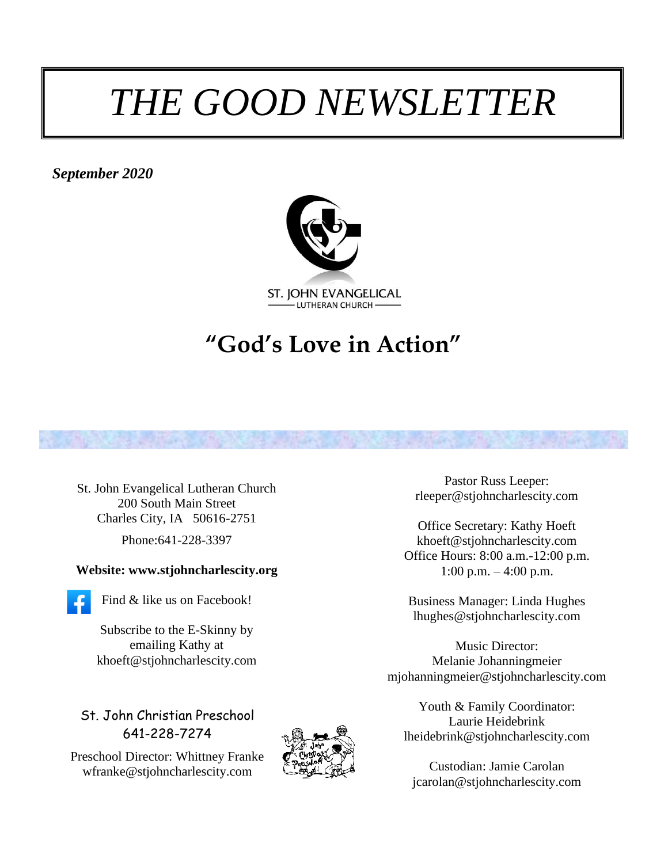# *THE GOOD NEWSLETTER*

*September 2020*



# **"God's Love in Action"**



#### **Website: www.stjohncharlescity.org**



Find & like us on Facebook!

Subscribe to the E-Skinny by emailing Kathy at khoeft@stjohncharlescity.com

St. John Christian Preschool 641-228-7274

Preschool Director: Whittney Franke [wfranke@stjohncharlescity.com](mailto:wfranke@stjohncharlescity.com)



Pastor Russ Leeper: [rleeper@stjohncharlescity.com](mailto:rleeper@stjohncharlescity.com)

Office Secretary: Kathy Hoeft [khoeft@stjohncharlescity.com](mailto:khoeft@stjohncharlescity.com) Office Hours: 8:00 a.m.-12:00 p.m. 1:00 p.m. – 4:00 p.m.

Business Manager: Linda Hughes lhughes@stjohncharlescity.com

Music Director: Melanie Johanningmeier [mjohanningmeier@stjohncharlescity.com](mailto:mjohanningmeier@stjohncharlescity.com)

Youth & Family Coordinator: Laurie Heidebrink [lheidebrink@stjohncharlescity.com](mailto:lheidebrink@stjohncharlescity.com)

Custodian: Jamie Carolan [jcarolan@stjohncharlescity.com](mailto:jcarolan@stjohncharlescity.com)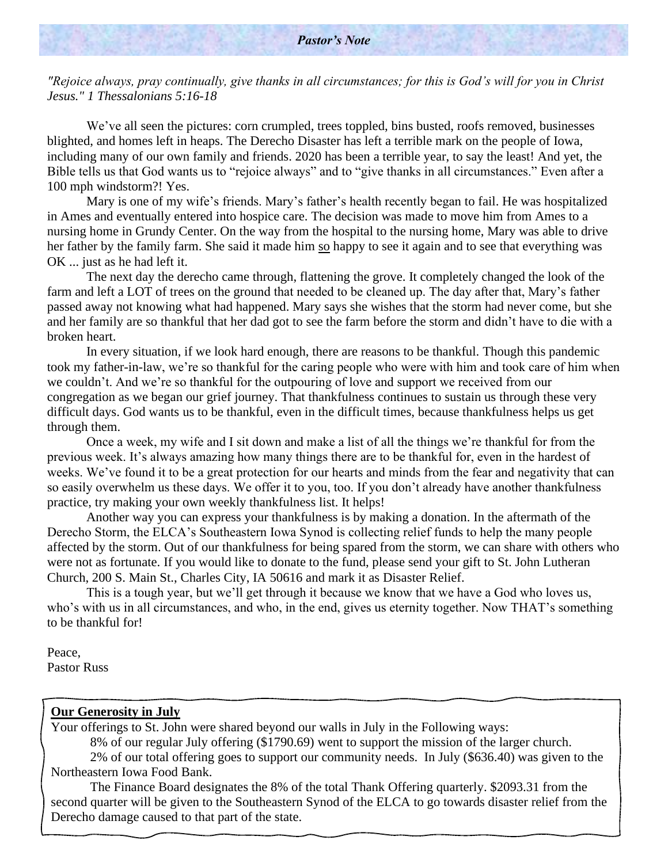#### *Pastor's Note*

*"Rejoice always, pray continually, give thanks in all circumstances; for this is God's will for you in Christ Jesus." 1 Thessalonians 5:16-18*

We've all seen the pictures: corn crumpled, trees toppled, bins busted, roofs removed, businesses blighted, and homes left in heaps. The Derecho Disaster has left a terrible mark on the people of Iowa, including many of our own family and friends. 2020 has been a terrible year, to say the least! And yet, the Bible tells us that God wants us to "rejoice always" and to "give thanks in all circumstances." Even after a 100 mph windstorm?! Yes.

Mary is one of my wife's friends. Mary's father's health recently began to fail. He was hospitalized in Ames and eventually entered into hospice care. The decision was made to move him from Ames to a nursing home in Grundy Center. On the way from the hospital to the nursing home, Mary was able to drive her father by the family farm. She said it made him so happy to see it again and to see that everything was OK ... just as he had left it.

The next day the derecho came through, flattening the grove. It completely changed the look of the farm and left a LOT of trees on the ground that needed to be cleaned up. The day after that, Mary's father passed away not knowing what had happened. Mary says she wishes that the storm had never come, but she and her family are so thankful that her dad got to see the farm before the storm and didn't have to die with a broken heart.

In every situation, if we look hard enough, there are reasons to be thankful. Though this pandemic took my father-in-law, we're so thankful for the caring people who were with him and took care of him when we couldn't. And we're so thankful for the outpouring of love and support we received from our congregation as we began our grief journey. That thankfulness continues to sustain us through these very difficult days. God wants us to be thankful, even in the difficult times, because thankfulness helps us get through them.

Once a week, my wife and I sit down and make a list of all the things we're thankful for from the previous week. It's always amazing how many things there are to be thankful for, even in the hardest of weeks. We've found it to be a great protection for our hearts and minds from the fear and negativity that can so easily overwhelm us these days. We offer it to you, too. If you don't already have another thankfulness practice, try making your own weekly thankfulness list. It helps!

Another way you can express your thankfulness is by making a donation. In the aftermath of the Derecho Storm, the ELCA's Southeastern Iowa Synod is collecting relief funds to help the many people affected by the storm. Out of our thankfulness for being spared from the storm, we can share with others who were not as fortunate. If you would like to donate to the fund, please send your gift to St. John Lutheran Church, 200 S. Main St., Charles City, IA 50616 and mark it as Disaster Relief.

This is a tough year, but we'll get through it because we know that we have a God who loves us, who's with us in all circumstances, and who, in the end, gives us eternity together. Now THAT's something to be thankful for!

Peace, Pastor Russ

.

#### **Our Generosity in July**

Your offerings to St. John were shared beyond our walls in July in the Following ways:

8% of our regular July offering (\$1790.69) went to support the mission of the larger church.

2% of our total offering goes to support our community needs. In July (\$636.40) was given to the Northeastern Iowa Food Bank.

The Finance Board designates the 8% of the total Thank Offering quarterly. \$2093.31 from the second quarter will be given to the Southeastern Synod of the ELCA to go towards disaster relief from the Derecho damage caused to that part of the state.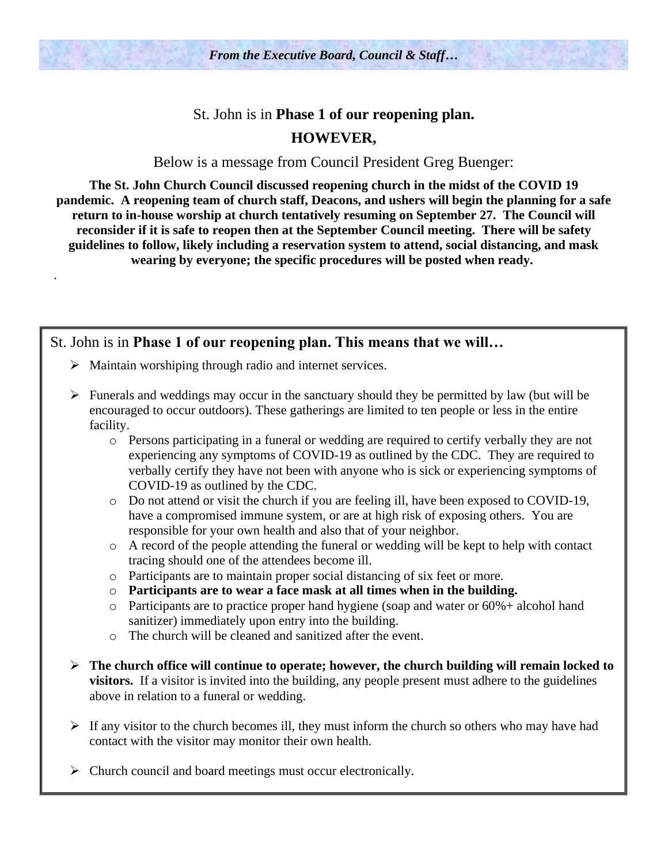## St. John is in **Phase 1 of our reopening plan. HOWEVER,**

Below is a message from Council President Greg Buenger:

**The St. John Church Council discussed reopening church in the midst of the COVID 19 pandemic. A reopening team of church staff, Deacons, and ushers will begin the planning for a safe return to in-house worship at church tentatively resuming on September 27. The Council will reconsider if it is safe to reopen then at the September Council meeting. There will be safety guidelines to follow, likely including a reservation system to attend, social distancing, and mask wearing by everyone; the specific procedures will be posted when ready.**

#### St. John is in **Phase 1 of our reopening plan. This means that we will…**

➢ Maintain worshiping through radio and internet services.

.

- $\triangleright$  Funerals and weddings may occur in the sanctuary should they be permitted by law (but will be encouraged to occur outdoors). These gatherings are limited to ten people or less in the entire facility.
	- o Persons participating in a funeral or wedding are required to certify verbally they are not experiencing any symptoms of COVID-19 as outlined by the CDC. They are required to verbally certify they have not been with anyone who is sick or experiencing symptoms of COVID-19 as outlined by the CDC.
	- o Do not attend or visit the church if you are feeling ill, have been exposed to COVID-19, have a compromised immune system, or are at high risk of exposing others. You are responsible for your own health and also that of your neighbor.
	- o A record of the people attending the funeral or wedding will be kept to help with contact tracing should one of the attendees become ill.
	- o Participants are to maintain proper social distancing of six feet or more.
	- o **Participants are to wear a face mask at all times when in the building.**
	- o Participants are to practice proper hand hygiene (soap and water or 60%+ alcohol hand sanitizer) immediately upon entry into the building.
	- o The church will be cleaned and sanitized after the event.
- ➢ **The church office will continue to operate; however, the church building will remain locked to visitors.** If a visitor is invited into the building, any people present must adhere to the guidelines above in relation to a funeral or wedding.
- $\triangleright$  If any visitor to the church becomes ill, they must inform the church so others who may have had contact with the visitor may monitor their own health.
- ➢ Church council and board meetings must occur electronically.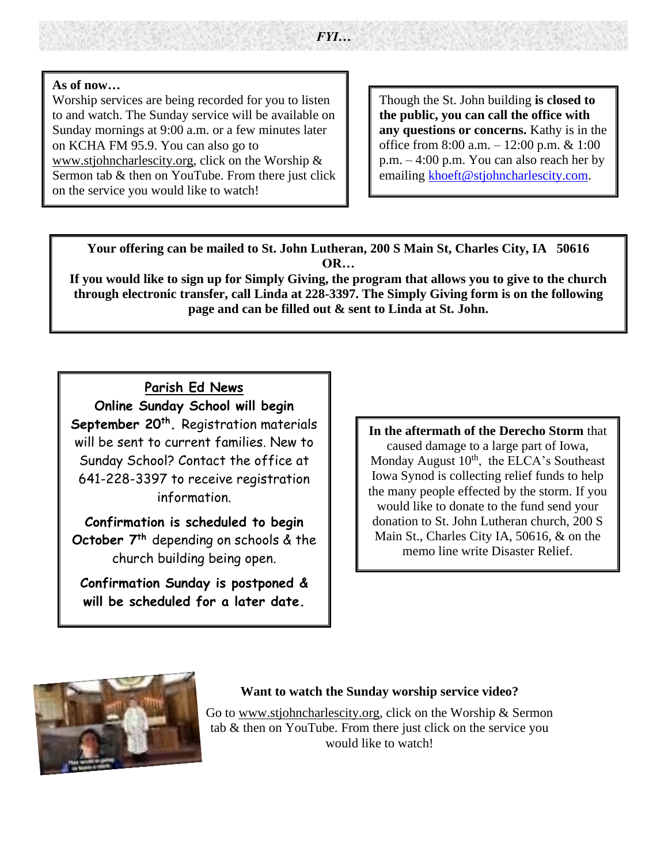#### **As of now…**

.

Worship services are being recorded for you to listen to and watch. The Sunday service will be available on Sunday mornings at 9:00 a.m. or a few minutes later on KCHA FM 95.9. You can also go to [www.stjohncharlescity.org,](http://www.stjohncharlescity.org/) click on the Worship & Sermon tab & then on YouTube. From there just click on the service you would like to watch!

Though the St. John building **is closed to the public, you can call the office with any questions or concerns.** Kathy is in the office from 8:00 a.m. – 12:00 p.m. & 1:00 p.m. – 4:00 p.m. You can also reach her by emailing [khoeft@stjohncharlescity.com.](mailto:khoeft@stjohncharlescity.com)

**Your offering can be mailed to St. John Lutheran, 200 S Main St, Charles City, IA 50616 OR…**

**If you would like to sign up for Simply Giving, the program that allows you to give to the church through electronic transfer, call Linda at 228-3397. The Simply Giving form is on the following page and can be filled out & sent to Linda at St. John.**

**Parish Ed News Online Sunday School will begin September 20th .** Registration materials will be sent to current families. New to Sunday School? Contact the office at 641-228-3397 to receive registration information.

**Confirmation is scheduled to begin October 7th** depending on schools & the church building being open.

**Confirmation Sunday is postponed & will be scheduled for a later date.**

**In the aftermath of the Derecho Storm** that caused damage to a large part of Iowa, Monday August 10<sup>th</sup>, the ELCA's Southeast Iowa Synod is collecting relief funds to help the many people effected by the storm. If you would like to donate to the fund send your donation to St. John Lutheran church, 200 S Main St., Charles City IA, 50616, & on the memo line write Disaster Relief.



#### **Want to watch the Sunday worship service video?**

Go to [www.stjohncharlescity.org,](http://www.stjohncharlescity.org/) click on the Worship & Sermon tab & then on YouTube. From there just click on the service you would like to watch!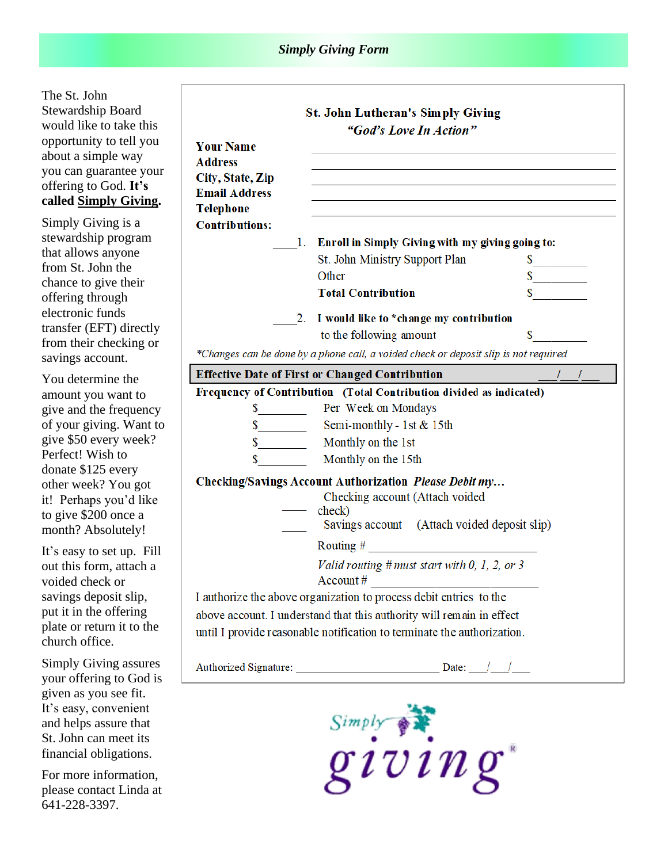#### *Simply Giving Form*

The St. John Stewardship Board would like to take this opportunity to tell you about a simple way you can guarantee your offering to God. **It's called Simply Giving .**

Si stewardship program Simply Giving is a that allows anyone from St. John the chance to give their offering through electronic funds transfer (EFT) directly from their checking or savings account.

You determine the amount you want to give and the frequency of your giving. Want to give \$50 every week? Perfect! Wish to donate \$125 every other week? You got it! Perhaps you'd like to give \$200 once a month? Absolutely!

 $\overline{\phantom{a}}$ 

It's easy to set up. Fill out this form, attach a voided check or savings deposit slip, put it in the offering plate or return it to the church office.

Simply Giving assures your offering to God is given as you see fit. It's easy, convenient and helps assure that St. John can meet its financial obligations.

For more information, please contact Linda at 641 -228 -3397.

|                                                                                      | <b>St. John Lutheran's Simply Giving</b><br>"God's Love In Action"      |                                                                                                                                                                                                                                |  |  |  |  |  |
|--------------------------------------------------------------------------------------|-------------------------------------------------------------------------|--------------------------------------------------------------------------------------------------------------------------------------------------------------------------------------------------------------------------------|--|--|--|--|--|
| <b>Your Name</b>                                                                     |                                                                         |                                                                                                                                                                                                                                |  |  |  |  |  |
| <b>Address</b>                                                                       |                                                                         |                                                                                                                                                                                                                                |  |  |  |  |  |
| City, State, Zip                                                                     |                                                                         |                                                                                                                                                                                                                                |  |  |  |  |  |
| <b>Email Address</b>                                                                 |                                                                         |                                                                                                                                                                                                                                |  |  |  |  |  |
| <b>Telephone</b>                                                                     |                                                                         |                                                                                                                                                                                                                                |  |  |  |  |  |
| <b>Contributions:</b>                                                                |                                                                         |                                                                                                                                                                                                                                |  |  |  |  |  |
|                                                                                      | 1. Enroll in Simply Giving with my giving going to:                     |                                                                                                                                                                                                                                |  |  |  |  |  |
|                                                                                      | St. John Ministry Support Plan                                          |                                                                                                                                                                                                                                |  |  |  |  |  |
|                                                                                      | Other                                                                   |                                                                                                                                                                                                                                |  |  |  |  |  |
|                                                                                      | <b>Total Contribution</b>                                               |                                                                                                                                                                                                                                |  |  |  |  |  |
| 2. I would like to *change my contribution                                           |                                                                         |                                                                                                                                                                                                                                |  |  |  |  |  |
|                                                                                      | to the following amount                                                 | S and the set of the set of the set of the set of the set of the set of the set of the set of the set of the set of the set of the set of the set of the set of the set of the set of the set of the set of the set of the set |  |  |  |  |  |
| *Changes can be done by a phone call, a voided check or deposit slip is not required |                                                                         |                                                                                                                                                                                                                                |  |  |  |  |  |
| <b>Effective Date of First or Changed Contribution</b>                               |                                                                         |                                                                                                                                                                                                                                |  |  |  |  |  |
|                                                                                      | Frequency of Contribution (Total Contribution divided as indicated)     |                                                                                                                                                                                                                                |  |  |  |  |  |
|                                                                                      |                                                                         |                                                                                                                                                                                                                                |  |  |  |  |  |
|                                                                                      | $\frac{1}{2}$ Semi-monthly - 1st & 15th                                 |                                                                                                                                                                                                                                |  |  |  |  |  |
|                                                                                      |                                                                         |                                                                                                                                                                                                                                |  |  |  |  |  |
|                                                                                      | \$ Monthly on the 15th                                                  |                                                                                                                                                                                                                                |  |  |  |  |  |
| Checking/Savings Account Authorization Please Debit my                               |                                                                         |                                                                                                                                                                                                                                |  |  |  |  |  |
|                                                                                      | Checking account (Attach voided                                         |                                                                                                                                                                                                                                |  |  |  |  |  |
|                                                                                      | check)                                                                  |                                                                                                                                                                                                                                |  |  |  |  |  |
|                                                                                      | Savings account (Attach voided deposit slip)                            |                                                                                                                                                                                                                                |  |  |  |  |  |
|                                                                                      |                                                                         |                                                                                                                                                                                                                                |  |  |  |  |  |
|                                                                                      | Valid routing $# must start with 0, 1, 2, or 3$                         |                                                                                                                                                                                                                                |  |  |  |  |  |
|                                                                                      | I authorize the above organization to process debit entries to the      |                                                                                                                                                                                                                                |  |  |  |  |  |
|                                                                                      | above account. I understand that this authority will remain in effect   |                                                                                                                                                                                                                                |  |  |  |  |  |
|                                                                                      | until I provide reasonable notification to terminate the authorization. |                                                                                                                                                                                                                                |  |  |  |  |  |
|                                                                                      |                                                                         |                                                                                                                                                                                                                                |  |  |  |  |  |
|                                                                                      |                                                                         |                                                                                                                                                                                                                                |  |  |  |  |  |
|                                                                                      |                                                                         |                                                                                                                                                                                                                                |  |  |  |  |  |

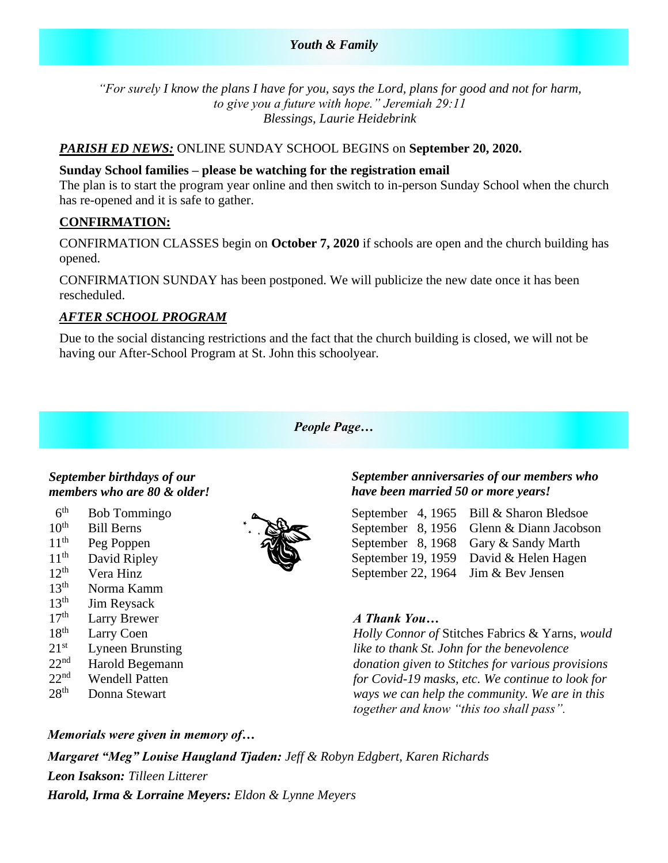*"For surely I know the plans I have for you, says the Lord, plans for good and not for harm, to give you a future with hope." Jeremiah 29:11 Blessings, Laurie Heidebrink*

#### *PARISH ED NEWS:* ONLINE SUNDAY SCHOOL BEGINS on **September 20, 2020.**

#### **Sunday School families – please be watching for the registration email**

The plan is to start the program year online and then switch to in-person Sunday School when the church has re-opened and it is safe to gather.

#### **CONFIRMATION:**

CONFIRMATION CLASSES begin on **October 7, 2020** if schools are open and the church building has opened.

CONFIRMATION SUNDAY has been postponed. We will publicize the new date once it has been rescheduled.

#### *AFTER SCHOOL PROGRAM*

Due to the social distancing restrictions and the fact that the church building is closed, we will not be having our After-School Program at St. John this schoolyear*.*

#### *People Page…*

#### *September birthdays of our members who are 80 & older!*

- $6<sup>th</sup>$ Bob Tommingo
- $10^{th}$  Bill Berns
- $11<sup>th</sup>$  Peg Poppen<br> $11<sup>th</sup>$  David Ripley
- David Ripley
- $12^{th}$  Vera Hinz<br> $13^{th}$  Norma Kar
- Norma Kamm
- $13<sup>th</sup>$  Jim Reysack
- $17<sup>th</sup>$  Larry Brewer<br>18<sup>th</sup> Larry Coen
- Larry Coen
- $21<sup>st</sup>$  Lyneen Brunsting
- $22<sup>nd</sup>$  Harold Begemann
- $22<sup>nd</sup>$  Wendell Patten
- 28<sup>th</sup> Donna Stewart



#### *September anniversaries of our members who have been married 50 or more years!*

September 4, 1965 Bill & Sharon Bledsoe September 8, 1956 Glenn & Diann Jacobson September 8, 1968 Gary & Sandy Marth September 19, 1959 David & Helen Hagen September 22, 1964 Jim & Bev Jensen

#### *A Thank You…*

*Holly Connor of* Stitches Fabrics & Yarns, *would like to thank St. John for the benevolence donation given to Stitches for various provisions for Covid-19 masks, etc. We continue to look for ways we can help the community. We are in this together and know "this too shall pass".*

*Memorials were given in memory of… Margaret "Meg" Louise Haugland Tjaden: Jeff & Robyn Edgbert, Karen Richards Leon Isakson: Tilleen Litterer Harold, Irma & Lorraine Meyers: Eldon & Lynne Meyers*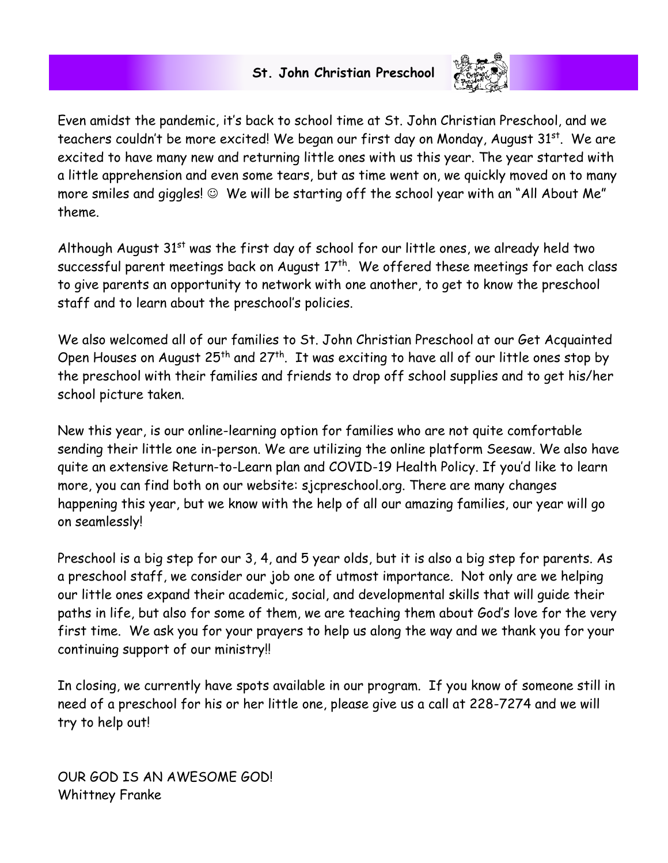### **St. John Christian Preschool**



Even amidst the pandemic, it's back to school time at St. John Christian Preschool, and we teachers couldn't be more excited! We began our first day on Monday, August 31<sup>st</sup>. We are excited to have many new and returning little ones with us this year. The year started with a little apprehension and even some tears, but as time went on, we quickly moved on to many more smiles and giggles! ☺ We will be starting off the school year with an "All About Me" theme.

Although August  $31<sup>st</sup>$  was the first day of school for our little ones, we already held two successful parent meetings back on August  $17<sup>th</sup>$ . We offered these meetings for each class to give parents an opportunity to network with one another, to get to know the preschool staff and to learn about the preschool's policies.

We also welcomed all of our families to St. John Christian Preschool at our Get Acquainted Open Houses on August  $25^{th}$  and  $27^{th}$ . It was exciting to have all of our little ones stop by the preschool with their families and friends to drop off school supplies and to get his/her school picture taken.

New this year, is our online-learning option for families who are not quite comfortable sending their little one in-person. We are utilizing the online platform Seesaw. We also have quite an extensive Return-to-Learn plan and COVID-19 Health Policy. If you'd like to learn more, you can find both on our website: sjcpreschool.org. There are many changes happening this year, but we know with the help of all our amazing families, our year will go on seamlessly!

Preschool is a big step for our 3, 4, and 5 year olds, but it is also a big step for parents. As a preschool staff, we consider our job one of utmost importance. Not only are we helping our little ones expand their academic, social, and developmental skills that will guide their paths in life, but also for some of them, we are teaching them about God's love for the very first time. We ask you for your prayers to help us along the way and we thank you for your continuing support of our ministry!!

In closing, we currently have spots available in our program. If you know of someone still in need of a preschool for his or her little one, please give us a call at 228-7274 and we will try to help out!

OUR GOD IS AN AWESOME GOD! Whittney Franke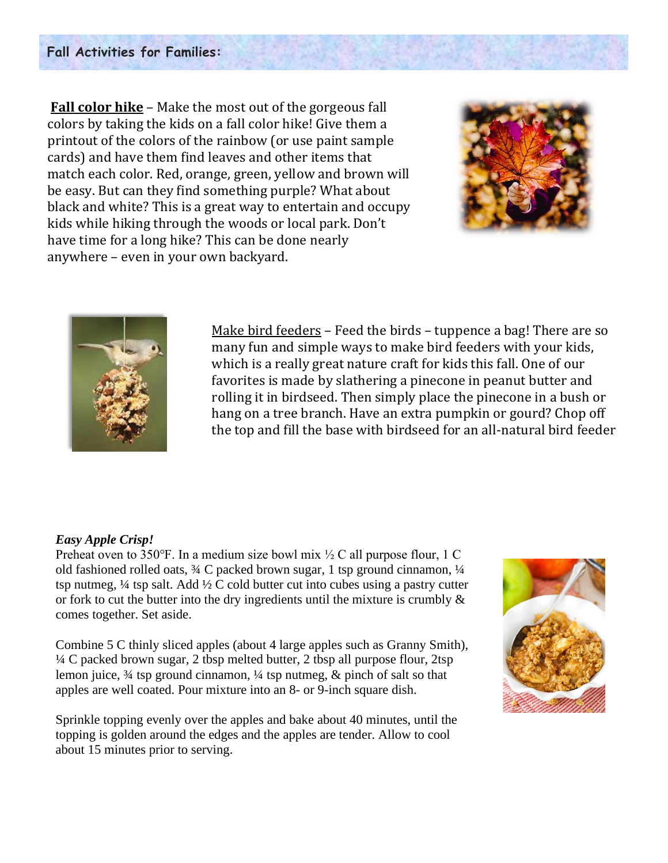#### **Fall Activities for Families:**

**Fall color hike** – Make the most out of the gorgeous fall colors by taking the kids on a fall color hike! Give them a printout of the colors of the rainbow (or use paint sample cards) and have them find leaves and other items that match each color. Red, orange, green, yellow and brown will be easy. But can they find something purple? What about black and white? This is a great way to entertain and occupy kids while hiking through the woods or local park. Don't have time for a long hike? This can be done nearly anywhere – even in your own backyard.





Make bird feeders – Feed the birds – tuppence a bag! There are so many fun and simple ways to make bird feeders with your kids, which is a really great nature craft for kids this fall. One of our favorites is made by slathering a pinecone in peanut butter and rolling it in birdseed. Then simply place the pinecone in a bush or hang on a tree branch. Have an extra pumpkin or gourd? Chop off the top and fill the base with birdseed for an all-natural bird feeder

#### *Easy Apple Crisp!*

Preheat oven to 350°F. In a medium size bowl mix  $\frac{1}{2}C$  all purpose flour, 1 C old fashioned rolled oats, ¾ C packed brown sugar, 1 tsp ground cinnamon, ¼ tsp nutmeg,  $\frac{1}{4}$  tsp salt. Add  $\frac{1}{2}$  C cold butter cut into cubes using a pastry cutter or fork to cut the butter into the dry ingredients until the mixture is crumbly  $\&$ comes together. Set aside.

Combine 5 C thinly sliced apples (about 4 large apples such as Granny Smith), ¼ C packed brown sugar, 2 tbsp melted butter, 2 tbsp all purpose flour, 2tsp lemon juice,  $\frac{3}{4}$  tsp ground cinnamon,  $\frac{1}{4}$  tsp nutmeg, & pinch of salt so that apples are well coated. Pour mixture into an 8- or 9-inch square dish.

Sprinkle topping evenly over the apples and bake about 40 minutes, until the topping is golden around the edges and the apples are tender. Allow to cool about 15 minutes prior to serving.